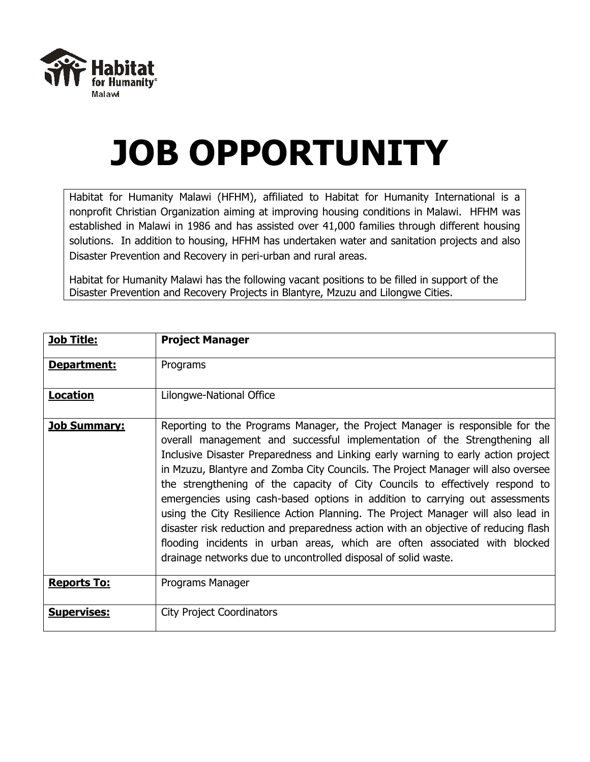

## **JOB OPPORTUNITY**

Habitat for Humanity Malawi (HFHM), affiliated to Habitat for Humanity International is a nonprofit Christian Organization aiming at improving housing conditions in Malawi. HFHM was established in Malawi in 1986 and has assisted over 41,000 families through different housing solutions. In addition to housing, HFHM has undertaken water and sanitation projects and also Disaster Prevention and Recovery in peri-urban and rural areas.

Habitat for Humanity Malawi has the following vacant positions to be filled in support of the Disaster Prevention and Recovery Projects in Blantyre, Mzuzu and Lilongwe Cities.

| <b>Job Title:</b>   | <b>Project Manager</b>                                                                                                                                                                                                                                                                                                                                                                                                                                                                                                                                                                                                                                                                                                                                                                                                          |
|---------------------|---------------------------------------------------------------------------------------------------------------------------------------------------------------------------------------------------------------------------------------------------------------------------------------------------------------------------------------------------------------------------------------------------------------------------------------------------------------------------------------------------------------------------------------------------------------------------------------------------------------------------------------------------------------------------------------------------------------------------------------------------------------------------------------------------------------------------------|
| Department:         | Programs                                                                                                                                                                                                                                                                                                                                                                                                                                                                                                                                                                                                                                                                                                                                                                                                                        |
| <b>Location</b>     | Lilongwe-National Office                                                                                                                                                                                                                                                                                                                                                                                                                                                                                                                                                                                                                                                                                                                                                                                                        |
| <u>Job Summary:</u> | Reporting to the Programs Manager, the Project Manager is responsible for the<br>overall management and successful implementation of the Strengthening all<br>Inclusive Disaster Preparedness and Linking early warning to early action project<br>in Mzuzu, Blantyre and Zomba City Councils. The Project Manager will also oversee<br>the strengthening of the capacity of City Councils to effectively respond to<br>emergencies using cash-based options in addition to carrying out assessments<br>using the City Resilience Action Planning. The Project Manager will also lead in<br>disaster risk reduction and preparedness action with an objective of reducing flash<br>flooding incidents in urban areas, which are often associated with blocked<br>drainage networks due to uncontrolled disposal of solid waste. |
| <b>Reports To:</b>  | Programs Manager                                                                                                                                                                                                                                                                                                                                                                                                                                                                                                                                                                                                                                                                                                                                                                                                                |
| <b>Supervises:</b>  | <b>City Project Coordinators</b>                                                                                                                                                                                                                                                                                                                                                                                                                                                                                                                                                                                                                                                                                                                                                                                                |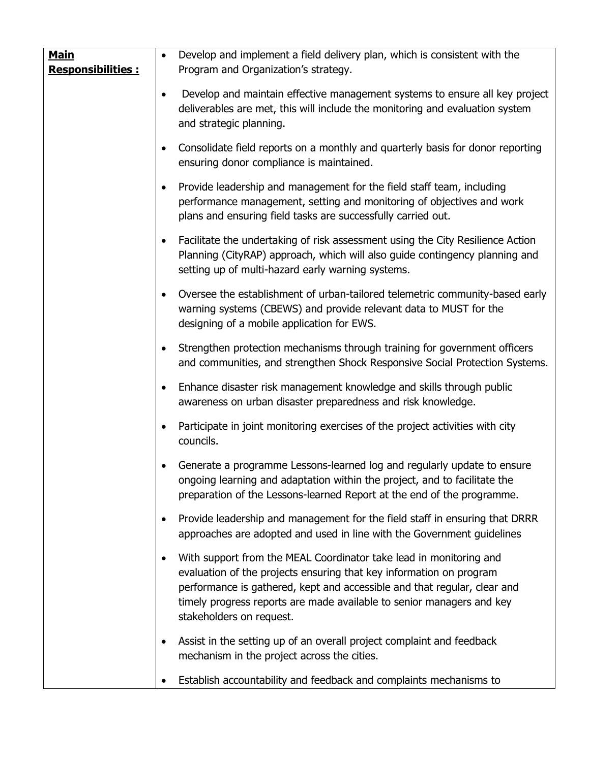| <b>Main</b><br><b>Responsibilities:</b> | $\bullet$ | Develop and implement a field delivery plan, which is consistent with the<br>Program and Organization's strategy.                                                                                                                                                                                                          |
|-----------------------------------------|-----------|----------------------------------------------------------------------------------------------------------------------------------------------------------------------------------------------------------------------------------------------------------------------------------------------------------------------------|
|                                         | $\bullet$ | Develop and maintain effective management systems to ensure all key project<br>deliverables are met, this will include the monitoring and evaluation system<br>and strategic planning.                                                                                                                                     |
|                                         | $\bullet$ | Consolidate field reports on a monthly and quarterly basis for donor reporting<br>ensuring donor compliance is maintained.                                                                                                                                                                                                 |
|                                         | $\bullet$ | Provide leadership and management for the field staff team, including<br>performance management, setting and monitoring of objectives and work<br>plans and ensuring field tasks are successfully carried out.                                                                                                             |
|                                         | $\bullet$ | Facilitate the undertaking of risk assessment using the City Resilience Action<br>Planning (CityRAP) approach, which will also guide contingency planning and<br>setting up of multi-hazard early warning systems.                                                                                                         |
|                                         | $\bullet$ | Oversee the establishment of urban-tailored telemetric community-based early<br>warning systems (CBEWS) and provide relevant data to MUST for the<br>designing of a mobile application for EWS.                                                                                                                            |
|                                         | $\bullet$ | Strengthen protection mechanisms through training for government officers<br>and communities, and strengthen Shock Responsive Social Protection Systems.                                                                                                                                                                   |
|                                         | $\bullet$ | Enhance disaster risk management knowledge and skills through public<br>awareness on urban disaster preparedness and risk knowledge.                                                                                                                                                                                       |
|                                         | $\bullet$ | Participate in joint monitoring exercises of the project activities with city<br>councils.                                                                                                                                                                                                                                 |
|                                         |           | Generate a programme Lessons-learned log and regularly update to ensure<br>ongoing learning and adaptation within the project, and to facilitate the<br>preparation of the Lessons-learned Report at the end of the programme.                                                                                             |
|                                         | $\bullet$ | Provide leadership and management for the field staff in ensuring that DRRR<br>approaches are adopted and used in line with the Government guidelines                                                                                                                                                                      |
|                                         | $\bullet$ | With support from the MEAL Coordinator take lead in monitoring and<br>evaluation of the projects ensuring that key information on program<br>performance is gathered, kept and accessible and that regular, clear and<br>timely progress reports are made available to senior managers and key<br>stakeholders on request. |
|                                         | $\bullet$ | Assist in the setting up of an overall project complaint and feedback<br>mechanism in the project across the cities.                                                                                                                                                                                                       |
|                                         |           | Establish accountability and feedback and complaints mechanisms to                                                                                                                                                                                                                                                         |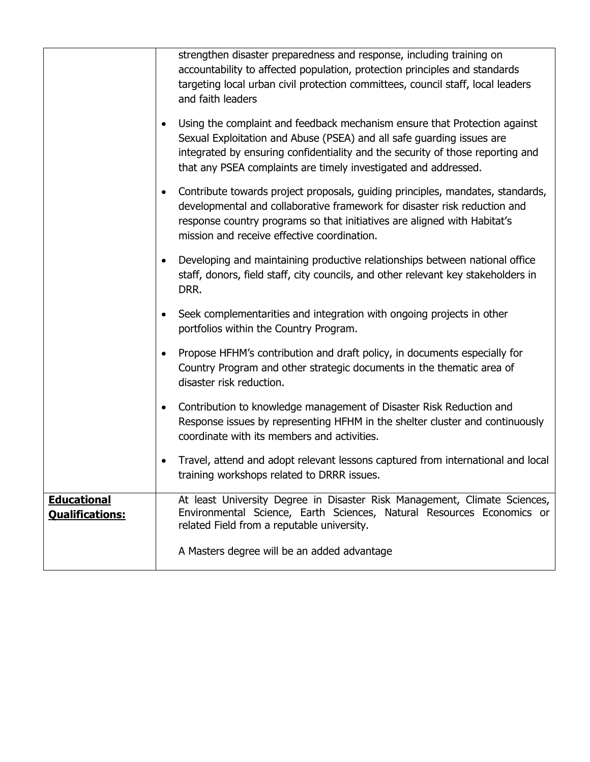|                                              | strengthen disaster preparedness and response, including training on<br>accountability to affected population, protection principles and standards<br>targeting local urban civil protection committees, council staff, local leaders<br>and faith leaders                                                           |
|----------------------------------------------|----------------------------------------------------------------------------------------------------------------------------------------------------------------------------------------------------------------------------------------------------------------------------------------------------------------------|
|                                              | Using the complaint and feedback mechanism ensure that Protection against<br>$\bullet$<br>Sexual Exploitation and Abuse (PSEA) and all safe guarding issues are<br>integrated by ensuring confidentiality and the security of those reporting and<br>that any PSEA complaints are timely investigated and addressed. |
|                                              | Contribute towards project proposals, guiding principles, mandates, standards,<br>$\bullet$<br>developmental and collaborative framework for disaster risk reduction and<br>response country programs so that initiatives are aligned with Habitat's<br>mission and receive effective coordination.                  |
|                                              | Developing and maintaining productive relationships between national office<br>$\bullet$<br>staff, donors, field staff, city councils, and other relevant key stakeholders in<br>DRR.                                                                                                                                |
|                                              | Seek complementarities and integration with ongoing projects in other<br>$\bullet$<br>portfolios within the Country Program.                                                                                                                                                                                         |
|                                              | Propose HFHM's contribution and draft policy, in documents especially for<br>$\bullet$<br>Country Program and other strategic documents in the thematic area of<br>disaster risk reduction.                                                                                                                          |
|                                              | Contribution to knowledge management of Disaster Risk Reduction and<br>$\bullet$<br>Response issues by representing HFHM in the shelter cluster and continuously<br>coordinate with its members and activities.                                                                                                      |
|                                              | Travel, attend and adopt relevant lessons captured from international and local<br>training workshops related to DRRR issues.                                                                                                                                                                                        |
| <b>Educational</b><br><b>Qualifications:</b> | At least University Degree in Disaster Risk Management, Climate Sciences,<br>Environmental Science, Earth Sciences, Natural Resources Economics or<br>related Field from a reputable university.                                                                                                                     |
|                                              | A Masters degree will be an added advantage                                                                                                                                                                                                                                                                          |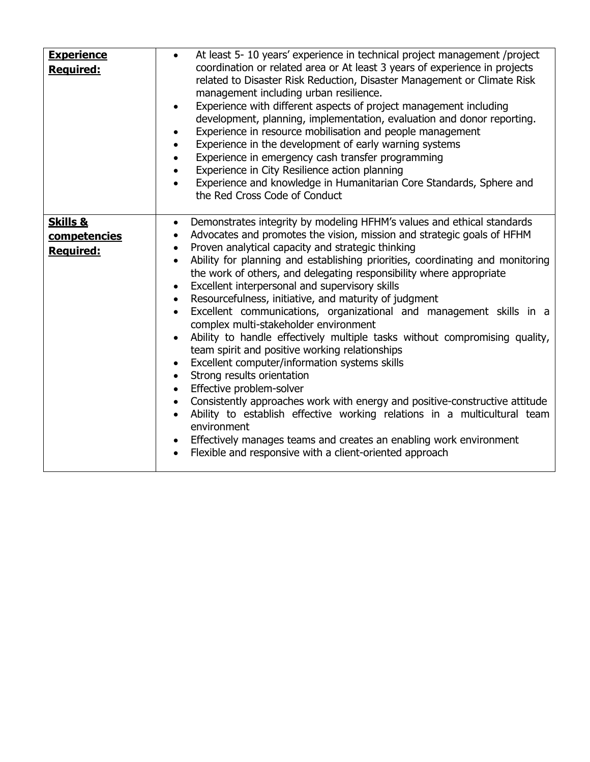| <b>Experience</b><br>Required:                   | At least 5- 10 years' experience in technical project management /project<br>$\bullet$<br>coordination or related area or At least 3 years of experience in projects<br>related to Disaster Risk Reduction, Disaster Management or Climate Risk<br>management including urban resilience.<br>Experience with different aspects of project management including<br>$\bullet$<br>development, planning, implementation, evaluation and donor reporting.<br>Experience in resource mobilisation and people management<br>Experience in the development of early warning systems<br>Experience in emergency cash transfer programming<br>Experience in City Resilience action planning<br>Experience and knowledge in Humanitarian Core Standards, Sphere and<br>the Red Cross Code of Conduct                                                                                                                                                                                                                                                                                                                                                                                                                                                                                                |
|--------------------------------------------------|-------------------------------------------------------------------------------------------------------------------------------------------------------------------------------------------------------------------------------------------------------------------------------------------------------------------------------------------------------------------------------------------------------------------------------------------------------------------------------------------------------------------------------------------------------------------------------------------------------------------------------------------------------------------------------------------------------------------------------------------------------------------------------------------------------------------------------------------------------------------------------------------------------------------------------------------------------------------------------------------------------------------------------------------------------------------------------------------------------------------------------------------------------------------------------------------------------------------------------------------------------------------------------------------|
| <b>Skills &amp;</b><br>competencies<br>Required: | Demonstrates integrity by modeling HFHM's values and ethical standards<br>$\bullet$<br>Advocates and promotes the vision, mission and strategic goals of HFHM<br>$\bullet$<br>Proven analytical capacity and strategic thinking<br>$\bullet$<br>Ability for planning and establishing priorities, coordinating and monitoring<br>$\bullet$<br>the work of others, and delegating responsibility where appropriate<br>Excellent interpersonal and supervisory skills<br>$\bullet$<br>Resourcefulness, initiative, and maturity of judgment<br>$\bullet$<br>Excellent communications, organizational and management skills in a<br>$\bullet$<br>complex multi-stakeholder environment<br>Ability to handle effectively multiple tasks without compromising quality,<br>$\bullet$<br>team spirit and positive working relationships<br>Excellent computer/information systems skills<br>٠<br>Strong results orientation<br>$\bullet$<br>Effective problem-solver<br>$\bullet$<br>• Consistently approaches work with energy and positive-constructive attitude<br>Ability to establish effective working relations in a multicultural team<br>environment<br>• Effectively manages teams and creates an enabling work environment<br>Flexible and responsive with a client-oriented approach |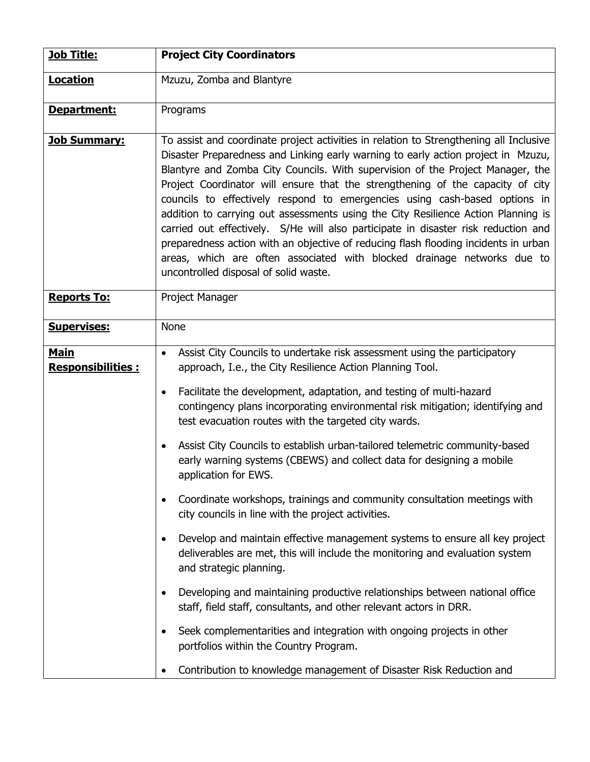| <b>Job Title:</b>                       | <b>Project City Coordinators</b>                                                                                                                                                                                                                                                                                                                                                                                                                                                                                                                                                                                                                                                                                                                                                                                    |
|-----------------------------------------|---------------------------------------------------------------------------------------------------------------------------------------------------------------------------------------------------------------------------------------------------------------------------------------------------------------------------------------------------------------------------------------------------------------------------------------------------------------------------------------------------------------------------------------------------------------------------------------------------------------------------------------------------------------------------------------------------------------------------------------------------------------------------------------------------------------------|
| <b>Location</b>                         | Mzuzu, Zomba and Blantyre                                                                                                                                                                                                                                                                                                                                                                                                                                                                                                                                                                                                                                                                                                                                                                                           |
| Department:                             | Programs                                                                                                                                                                                                                                                                                                                                                                                                                                                                                                                                                                                                                                                                                                                                                                                                            |
| <b>Job Summary:</b>                     | To assist and coordinate project activities in relation to Strengthening all Inclusive<br>Disaster Preparedness and Linking early warning to early action project in Mzuzu,<br>Blantyre and Zomba City Councils. With supervision of the Project Manager, the<br>Project Coordinator will ensure that the strengthening of the capacity of city<br>councils to effectively respond to emergencies using cash-based options in<br>addition to carrying out assessments using the City Resilience Action Planning is<br>carried out effectively. S/He will also participate in disaster risk reduction and<br>preparedness action with an objective of reducing flash flooding incidents in urban<br>areas, which are often associated with blocked drainage networks due to<br>uncontrolled disposal of solid waste. |
| <b>Reports To:</b>                      | Project Manager                                                                                                                                                                                                                                                                                                                                                                                                                                                                                                                                                                                                                                                                                                                                                                                                     |
| <b>Supervises:</b>                      | <b>None</b>                                                                                                                                                                                                                                                                                                                                                                                                                                                                                                                                                                                                                                                                                                                                                                                                         |
| <b>Main</b><br><b>Responsibilities:</b> | Assist City Councils to undertake risk assessment using the participatory<br>$\bullet$<br>approach, I.e., the City Resilience Action Planning Tool.                                                                                                                                                                                                                                                                                                                                                                                                                                                                                                                                                                                                                                                                 |
|                                         | Facilitate the development, adaptation, and testing of multi-hazard<br>$\bullet$<br>contingency plans incorporating environmental risk mitigation; identifying and<br>test evacuation routes with the targeted city wards.                                                                                                                                                                                                                                                                                                                                                                                                                                                                                                                                                                                          |
|                                         | Assist City Councils to establish urban-tailored telemetric community-based<br>$\bullet$<br>early warning systems (CBEWS) and collect data for designing a mobile<br>application for EWS.                                                                                                                                                                                                                                                                                                                                                                                                                                                                                                                                                                                                                           |
|                                         | Coordinate workshops, trainings and community consultation meetings with<br>$\bullet$<br>city councils in line with the project activities.                                                                                                                                                                                                                                                                                                                                                                                                                                                                                                                                                                                                                                                                         |
|                                         | Develop and maintain effective management systems to ensure all key project<br>$\bullet$<br>deliverables are met, this will include the monitoring and evaluation system<br>and strategic planning.                                                                                                                                                                                                                                                                                                                                                                                                                                                                                                                                                                                                                 |
|                                         | Developing and maintaining productive relationships between national office<br>$\bullet$<br>staff, field staff, consultants, and other relevant actors in DRR.                                                                                                                                                                                                                                                                                                                                                                                                                                                                                                                                                                                                                                                      |
|                                         | Seek complementarities and integration with ongoing projects in other<br>$\bullet$<br>portfolios within the Country Program.                                                                                                                                                                                                                                                                                                                                                                                                                                                                                                                                                                                                                                                                                        |
|                                         | Contribution to knowledge management of Disaster Risk Reduction and<br>$\bullet$                                                                                                                                                                                                                                                                                                                                                                                                                                                                                                                                                                                                                                                                                                                                    |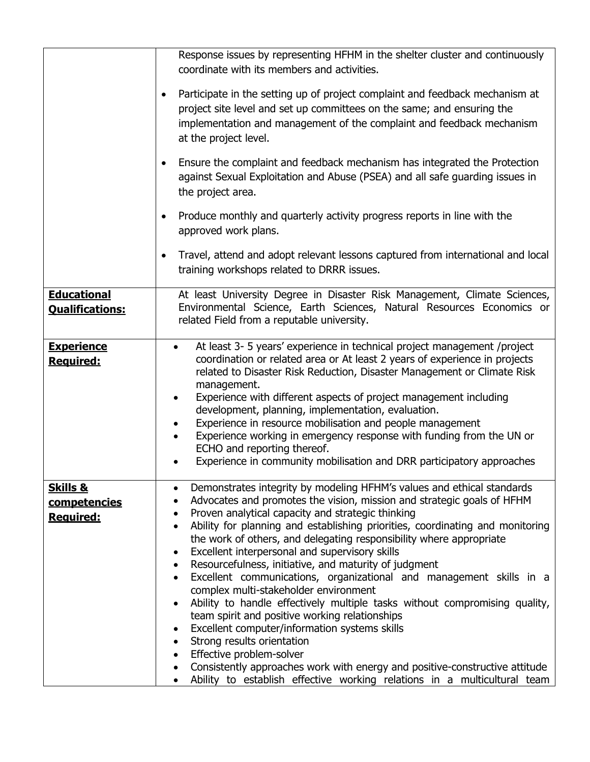|                                                  | Response issues by representing HFHM in the shelter cluster and continuously<br>coordinate with its members and activities.                                                                                                                                                                                                                                                                                                                                                                                                                                                                                                                                                                                                                                                                                                                                                                                                                                                                                                                                    |
|--------------------------------------------------|----------------------------------------------------------------------------------------------------------------------------------------------------------------------------------------------------------------------------------------------------------------------------------------------------------------------------------------------------------------------------------------------------------------------------------------------------------------------------------------------------------------------------------------------------------------------------------------------------------------------------------------------------------------------------------------------------------------------------------------------------------------------------------------------------------------------------------------------------------------------------------------------------------------------------------------------------------------------------------------------------------------------------------------------------------------|
|                                                  | Participate in the setting up of project complaint and feedback mechanism at<br>$\bullet$<br>project site level and set up committees on the same; and ensuring the<br>implementation and management of the complaint and feedback mechanism<br>at the project level.                                                                                                                                                                                                                                                                                                                                                                                                                                                                                                                                                                                                                                                                                                                                                                                          |
|                                                  | Ensure the complaint and feedback mechanism has integrated the Protection<br>$\bullet$<br>against Sexual Exploitation and Abuse (PSEA) and all safe guarding issues in<br>the project area.                                                                                                                                                                                                                                                                                                                                                                                                                                                                                                                                                                                                                                                                                                                                                                                                                                                                    |
|                                                  | Produce monthly and quarterly activity progress reports in line with the<br>$\bullet$<br>approved work plans.                                                                                                                                                                                                                                                                                                                                                                                                                                                                                                                                                                                                                                                                                                                                                                                                                                                                                                                                                  |
|                                                  | Travel, attend and adopt relevant lessons captured from international and local<br>$\bullet$<br>training workshops related to DRRR issues.                                                                                                                                                                                                                                                                                                                                                                                                                                                                                                                                                                                                                                                                                                                                                                                                                                                                                                                     |
| <b>Educational</b><br><b>Qualifications:</b>     | At least University Degree in Disaster Risk Management, Climate Sciences,<br>Environmental Science, Earth Sciences, Natural Resources Economics or<br>related Field from a reputable university.                                                                                                                                                                                                                                                                                                                                                                                                                                                                                                                                                                                                                                                                                                                                                                                                                                                               |
| <b>Experience</b><br>Required:                   | At least 3- 5 years' experience in technical project management /project<br>$\bullet$<br>coordination or related area or At least 2 years of experience in projects<br>related to Disaster Risk Reduction, Disaster Management or Climate Risk<br>management.<br>Experience with different aspects of project management including<br>development, planning, implementation, evaluation.<br>Experience in resource mobilisation and people management<br>Experience working in emergency response with funding from the UN or<br>ECHO and reporting thereof.<br>Experience in community mobilisation and DRR participatory approaches                                                                                                                                                                                                                                                                                                                                                                                                                          |
| <b>Skills &amp;</b><br>competencies<br>Required: | Demonstrates integrity by modeling HFHM's values and ethical standards<br>$\bullet$<br>Advocates and promotes the vision, mission and strategic goals of HFHM<br>Proven analytical capacity and strategic thinking<br>٠<br>Ability for planning and establishing priorities, coordinating and monitoring<br>$\bullet$<br>the work of others, and delegating responsibility where appropriate<br>Excellent interpersonal and supervisory skills<br>Resourcefulness, initiative, and maturity of judgment<br>٠<br>Excellent communications, organizational and management skills in a<br>$\bullet$<br>complex multi-stakeholder environment<br>Ability to handle effectively multiple tasks without compromising quality,<br>team spirit and positive working relationships<br>Excellent computer/information systems skills<br>Strong results orientation<br>$\bullet$<br>• Effective problem-solver<br>Consistently approaches work with energy and positive-constructive attitude<br>Ability to establish effective working relations in a multicultural team |